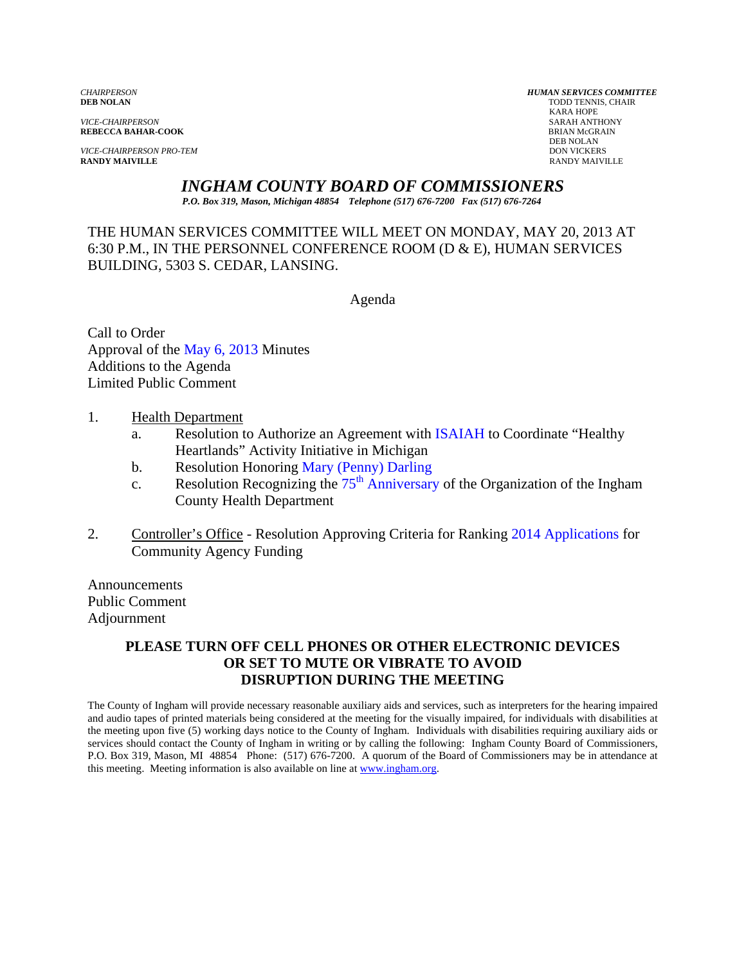*VICE-CHAIRPERSON* SARAH ANTHONY

*VICE-CHAIRPERSON PRO-TEM* DON VICKERS DON VICKERS **RANDY MAIVILLE RANDY MAIVILLE** RANDY MAIVILLE

*CHAIRPERSON HUMAN SERVICES COMMITTEE* TODD TENNIS, CHAIR<br>KARA HOPE KARA HOPE **REBECCA BAHAR-COOK**<br>BRIAN McGR<br>DEB NOLAN DEB NOLAN

*INGHAM COUNTY BOARD OF COMMISSIONERS* 

*P.O. Box 319, Mason, Michigan 48854 Telephone (517) 676-7200 Fax (517) 676-7264*

THE HUMAN SERVICES COMMITTEE WILL MEET ON MONDAY, MAY 20, 2013 AT 6:30 P.M., IN THE PERSONNEL CONFERENCE ROOM (D & E), HUMAN SERVICES BUILDING, 5303 S. CEDAR, LANSING.

Agenda

Call to Order Approval of t[he May 6, 2013 Minutes](#page-1-0)  Additions to the Agenda Limited Public Comment

- 1. Health Department
	- a. Resolution to Authorize an Agreement wi[th ISAIAH to Coordinate "](#page-5-0)Healthy Heartlands" Activit[y Initiative in Michigan](#page-7-0)
	- b. Resolution Honoring Mary (Penny) Darling
	- c. Resolution Recognizing the  $75<sup>th</sup>$  Anniversary of the Organization of the Ingham County Health Department
- 2. Controller's Office Resolution Approving Criteria for Ranking 2014 Applications for Community Agency Funding

Announcements Public Comment Adjournment

### **PLEASE TURN OFF CELL PHONES OR OTHER ELECTRONIC DEVICES OR SET TO MUTE OR VIBRATE TO AVOID DISRUPTION DURING THE MEETING**

The County of Ingham will provide necessary reasonable auxiliary aids and services, such as interpreters for the hearing impaired and audio tapes of printed materials being considered at the meeting for the visually impaired, for individuals with disabilities at the meeting upon five (5) working days notice to the County of Ingham. Individuals with disabilities requiring auxiliary aids or services should contact the County of Ingham in writing or by calling the following: Ingham County Board of Commissioners, P.O. Box 319, Mason, MI 48854 Phone: (517) 676-7200. A quorum of the Board of Commissioners may be in attendance at this meeting. Meeting information is also available on line at www.ingham.org.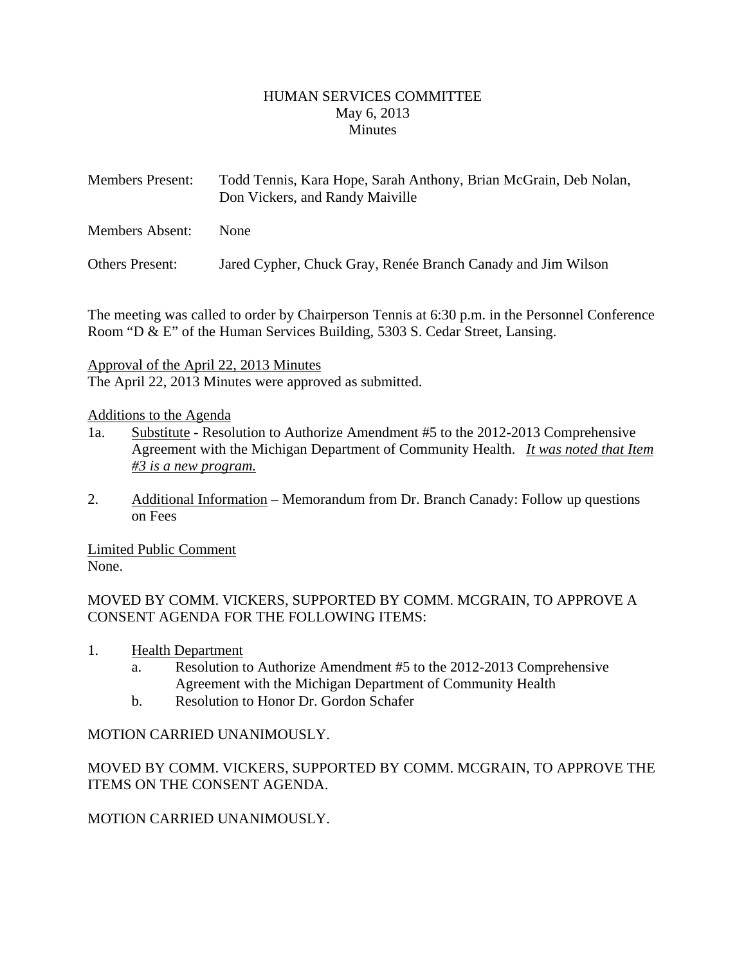### HUMAN SERVICES COMMITTEE May 6, 2013 **Minutes**

<span id="page-1-0"></span>

| <b>Members Present:</b> | Todd Tennis, Kara Hope, Sarah Anthony, Brian McGrain, Deb Nolan,<br>Don Vickers, and Randy Maiville |
|-------------------------|-----------------------------------------------------------------------------------------------------|
| Members Absent:         | None                                                                                                |
| Others Present:         | Jared Cypher, Chuck Gray, Renée Branch Canady and Jim Wilson                                        |

The meeting was called to order by Chairperson Tennis at 6:30 p.m. in the Personnel Conference Room "D & E" of the Human Services Building, 5303 S. Cedar Street, Lansing.

Approval of the April 22, 2013 Minutes

The April 22, 2013 Minutes were approved as submitted.

### Additions to the Agenda

- 1a. Substitute Resolution to Authorize Amendment #5 to the 2012-2013 Comprehensive Agreement with the Michigan Department of Community Health. *It was noted that Item #3 is a new program.*
- 2. Additional Information Memorandum from Dr. Branch Canady: Follow up questions on Fees

Limited Public Comment None.

MOVED BY COMM. VICKERS, SUPPORTED BY COMM. MCGRAIN, TO APPROVE A CONSENT AGENDA FOR THE FOLLOWING ITEMS:

- 1. Health Department
	- a. Resolution to Authorize Amendment #5 to the 2012-2013 Comprehensive Agreement with the Michigan Department of Community Health
	- b. Resolution to Honor Dr. Gordon Schafer

# MOTION CARRIED UNANIMOUSLY.

MOVED BY COMM. VICKERS, SUPPORTED BY COMM. MCGRAIN, TO APPROVE THE ITEMS ON THE CONSENT AGENDA.

MOTION CARRIED UNANIMOUSLY.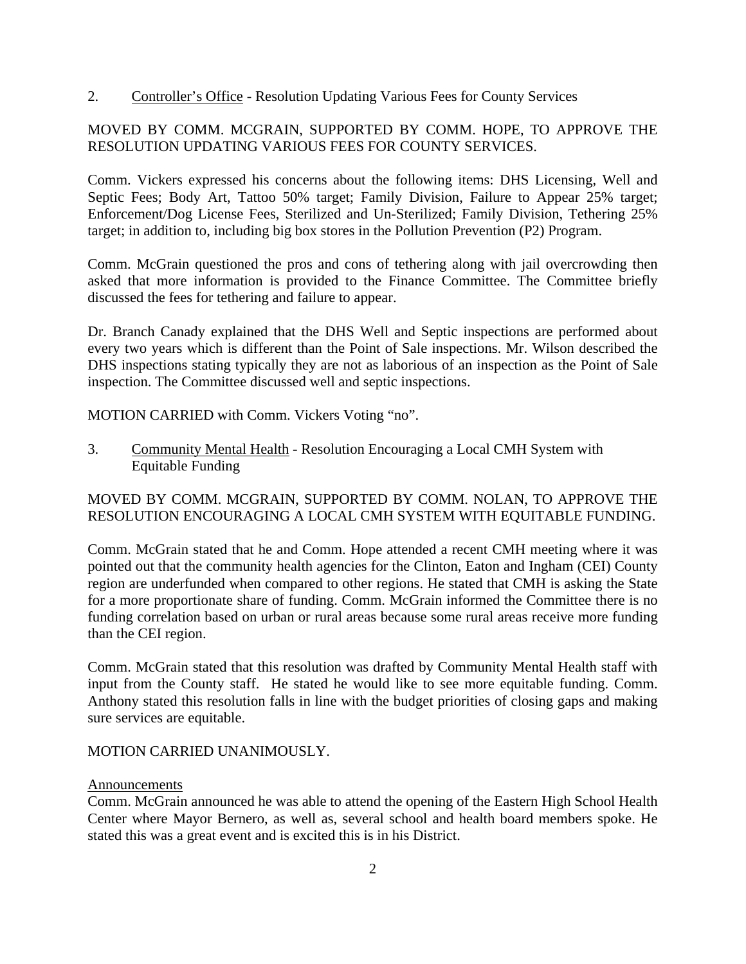2. Controller's Office - Resolution Updating Various Fees for County Services

### MOVED BY COMM. MCGRAIN, SUPPORTED BY COMM. HOPE, TO APPROVE THE RESOLUTION UPDATING VARIOUS FEES FOR COUNTY SERVICES.

Comm. Vickers expressed his concerns about the following items: DHS Licensing, Well and Septic Fees; Body Art, Tattoo 50% target; Family Division, Failure to Appear 25% target; Enforcement/Dog License Fees, Sterilized and Un-Sterilized; Family Division, Tethering 25% target; in addition to, including big box stores in the Pollution Prevention (P2) Program.

Comm. McGrain questioned the pros and cons of tethering along with jail overcrowding then asked that more information is provided to the Finance Committee. The Committee briefly discussed the fees for tethering and failure to appear.

Dr. Branch Canady explained that the DHS Well and Septic inspections are performed about every two years which is different than the Point of Sale inspections. Mr. Wilson described the DHS inspections stating typically they are not as laborious of an inspection as the Point of Sale inspection. The Committee discussed well and septic inspections.

MOTION CARRIED with Comm. Vickers Voting "no".

3. Community Mental Health - Resolution Encouraging a Local CMH System with Equitable Funding

### MOVED BY COMM. MCGRAIN, SUPPORTED BY COMM. NOLAN, TO APPROVE THE RESOLUTION ENCOURAGING A LOCAL CMH SYSTEM WITH EQUITABLE FUNDING.

Comm. McGrain stated that he and Comm. Hope attended a recent CMH meeting where it was pointed out that the community health agencies for the Clinton, Eaton and Ingham (CEI) County region are underfunded when compared to other regions. He stated that CMH is asking the State for a more proportionate share of funding. Comm. McGrain informed the Committee there is no funding correlation based on urban or rural areas because some rural areas receive more funding than the CEI region.

Comm. McGrain stated that this resolution was drafted by Community Mental Health staff with input from the County staff. He stated he would like to see more equitable funding. Comm. Anthony stated this resolution falls in line with the budget priorities of closing gaps and making sure services are equitable.

### MOTION CARRIED UNANIMOUSLY.

### Announcements

Comm. McGrain announced he was able to attend the opening of the Eastern High School Health Center where Mayor Bernero, as well as, several school and health board members spoke. He stated this was a great event and is excited this is in his District.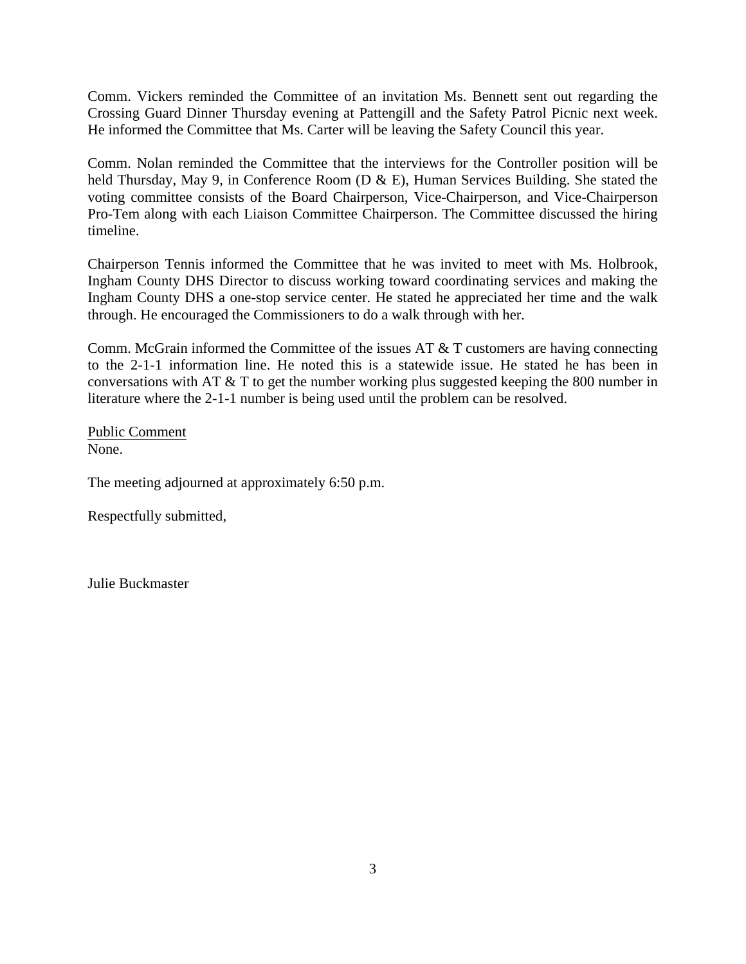Comm. Vickers reminded the Committee of an invitation Ms. Bennett sent out regarding the Crossing Guard Dinner Thursday evening at Pattengill and the Safety Patrol Picnic next week. He informed the Committee that Ms. Carter will be leaving the Safety Council this year.

Comm. Nolan reminded the Committee that the interviews for the Controller position will be held Thursday, May 9, in Conference Room (D & E), Human Services Building. She stated the voting committee consists of the Board Chairperson, Vice-Chairperson, and Vice-Chairperson Pro-Tem along with each Liaison Committee Chairperson. The Committee discussed the hiring timeline.

Chairperson Tennis informed the Committee that he was invited to meet with Ms. Holbrook, Ingham County DHS Director to discuss working toward coordinating services and making the Ingham County DHS a one-stop service center. He stated he appreciated her time and the walk through. He encouraged the Commissioners to do a walk through with her.

Comm. McGrain informed the Committee of the issues AT & T customers are having connecting to the 2-1-1 information line. He noted this is a statewide issue. He stated he has been in conversations with AT & T to get the number working plus suggested keeping the 800 number in literature where the 2-1-1 number is being used until the problem can be resolved.

Public Comment None.

The meeting adjourned at approximately 6:50 p.m.

Respectfully submitted,

Julie Buckmaster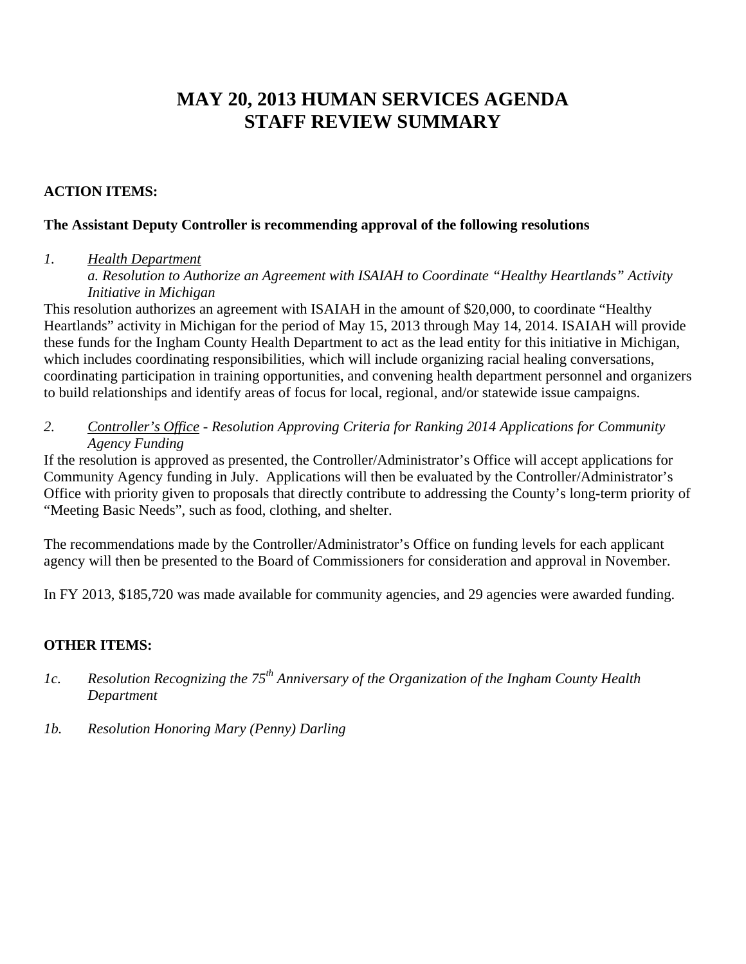# **MAY 20, 2013 HUMAN SERVICES AGENDA STAFF REVIEW SUMMARY**

## **ACTION ITEMS:**

### **The Assistant Deputy Controller is recommending approval of the following resolutions**

### *1. Health Department*

*a. Resolution to Authorize an Agreement with ISAIAH to Coordinate "Healthy Heartlands" Activity Initiative in Michigan* 

This resolution authorizes an agreement with ISAIAH in the amount of \$20,000, to coordinate "Healthy Heartlands" activity in Michigan for the period of May 15, 2013 through May 14, 2014. ISAIAH will provide these funds for the Ingham County Health Department to act as the lead entity for this initiative in Michigan, which includes coordinating responsibilities, which will include organizing racial healing conversations, coordinating participation in training opportunities, and convening health department personnel and organizers to build relationships and identify areas of focus for local, regional, and/or statewide issue campaigns.

*2. Controller's Office - Resolution Approving Criteria for Ranking 2014 Applications for Community Agency Funding* 

If the resolution is approved as presented, the Controller/Administrator's Office will accept applications for Community Agency funding in July. Applications will then be evaluated by the Controller/Administrator's Office with priority given to proposals that directly contribute to addressing the County's long-term priority of "Meeting Basic Needs", such as food, clothing, and shelter.

The recommendations made by the Controller/Administrator's Office on funding levels for each applicant agency will then be presented to the Board of Commissioners for consideration and approval in November.

In FY 2013, \$185,720 was made available for community agencies, and 29 agencies were awarded funding.

# **OTHER ITEMS:**

- *1c. Resolution Recognizing the 75th Anniversary of the Organization of the Ingham County Health Department*
- *1b. Resolution Honoring Mary (Penny) Darling*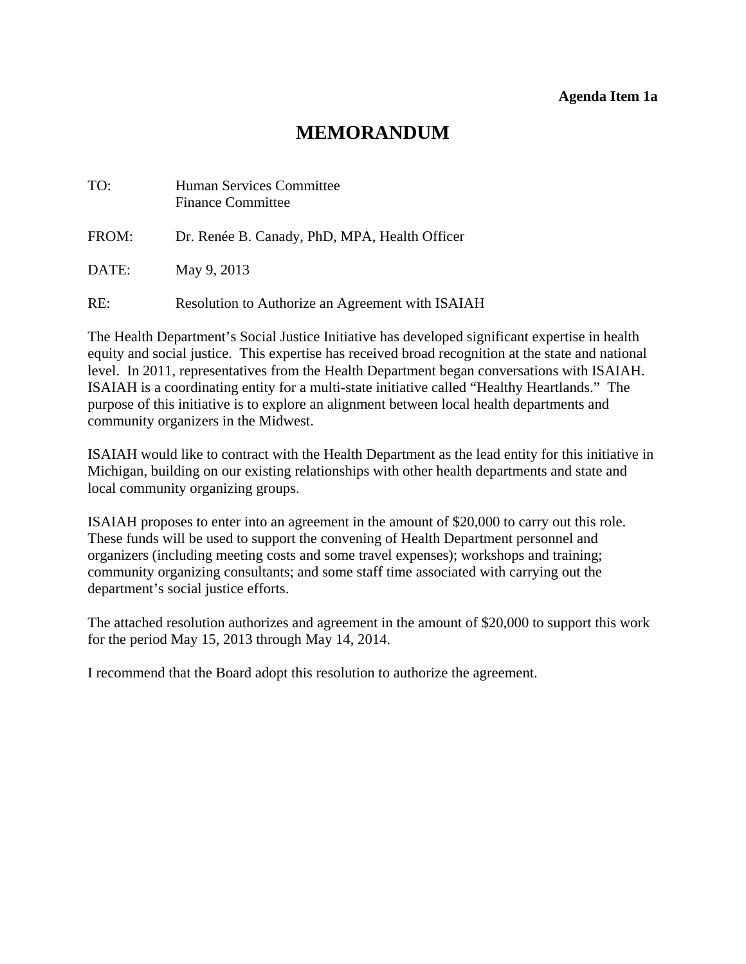# **MEMORANDUM**

<span id="page-5-0"></span>

| TO:   | <b>Human Services Committee</b><br><b>Finance Committee</b> |
|-------|-------------------------------------------------------------|
| FROM: | Dr. Renée B. Canady, PhD, MPA, Health Officer               |
| DATE: | May 9, 2013                                                 |
| RE:   | Resolution to Authorize an Agreement with ISAIAH            |

The Health Department's Social Justice Initiative has developed significant expertise in health equity and social justice. This expertise has received broad recognition at the state and national level. In 2011, representatives from the Health Department began conversations with ISAIAH. ISAIAH is a coordinating entity for a multi-state initiative called "Healthy Heartlands." The purpose of this initiative is to explore an alignment between local health departments and community organizers in the Midwest.

ISAIAH would like to contract with the Health Department as the lead entity for this initiative in Michigan, building on our existing relationships with other health departments and state and local community organizing groups.

ISAIAH proposes to enter into an agreement in the amount of \$20,000 to carry out this role. These funds will be used to support the convening of Health Department personnel and organizers (including meeting costs and some travel expenses); workshops and training; community organizing consultants; and some staff time associated with carrying out the department's social justice efforts.

The attached resolution authorizes and agreement in the amount of \$20,000 to support this work for the period May 15, 2013 through May 14, 2014.

I recommend that the Board adopt this resolution to authorize the agreement.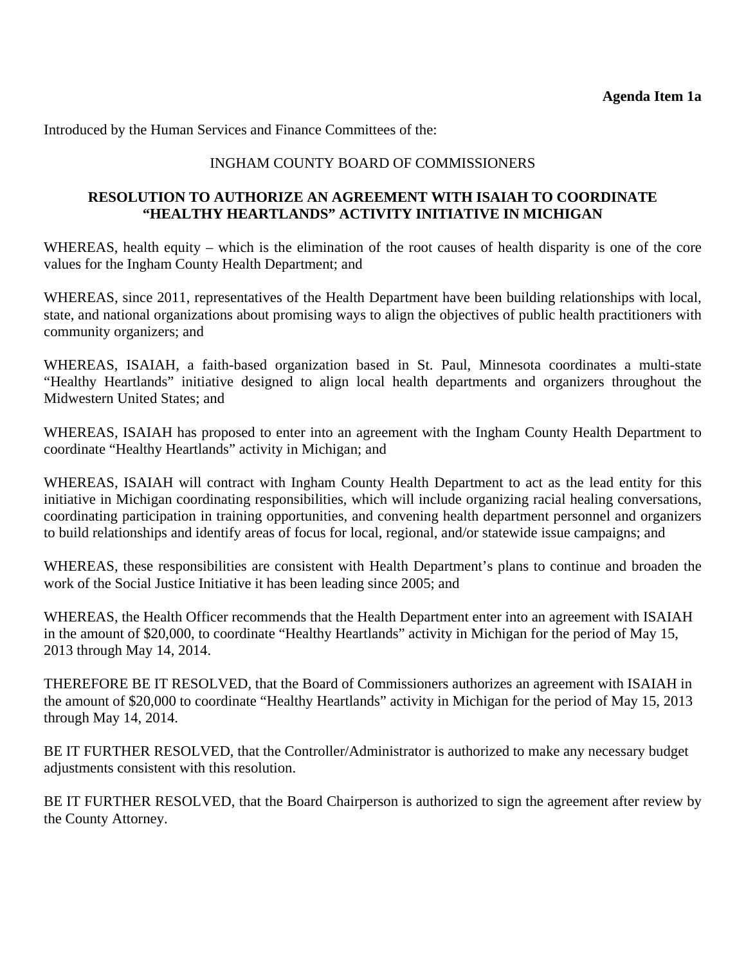Introduced by the Human Services and Finance Committees of the:

### INGHAM COUNTY BOARD OF COMMISSIONERS

### **RESOLUTION TO AUTHORIZE AN AGREEMENT WITH ISAIAH TO COORDINATE "HEALTHY HEARTLANDS" ACTIVITY INITIATIVE IN MICHIGAN**

WHEREAS, health equity – which is the elimination of the root causes of health disparity is one of the core values for the Ingham County Health Department; and

WHEREAS, since 2011, representatives of the Health Department have been building relationships with local, state, and national organizations about promising ways to align the objectives of public health practitioners with community organizers; and

WHEREAS, ISAIAH, a faith-based organization based in St. Paul, Minnesota coordinates a multi-state "Healthy Heartlands" initiative designed to align local health departments and organizers throughout the Midwestern United States; and

WHEREAS, ISAIAH has proposed to enter into an agreement with the Ingham County Health Department to coordinate "Healthy Heartlands" activity in Michigan; and

WHEREAS, ISAIAH will contract with Ingham County Health Department to act as the lead entity for this initiative in Michigan coordinating responsibilities, which will include organizing racial healing conversations, coordinating participation in training opportunities, and convening health department personnel and organizers to build relationships and identify areas of focus for local, regional, and/or statewide issue campaigns; and

WHEREAS, these responsibilities are consistent with Health Department's plans to continue and broaden the work of the Social Justice Initiative it has been leading since 2005; and

WHEREAS, the Health Officer recommends that the Health Department enter into an agreement with ISAIAH in the amount of \$20,000, to coordinate "Healthy Heartlands" activity in Michigan for the period of May 15, 2013 through May 14, 2014.

THEREFORE BE IT RESOLVED, that the Board of Commissioners authorizes an agreement with ISAIAH in the amount of \$20,000 to coordinate "Healthy Heartlands" activity in Michigan for the period of May 15, 2013 through May 14, 2014.

BE IT FURTHER RESOLVED, that the Controller/Administrator is authorized to make any necessary budget adjustments consistent with this resolution.

BE IT FURTHER RESOLVED, that the Board Chairperson is authorized to sign the agreement after review by the County Attorney.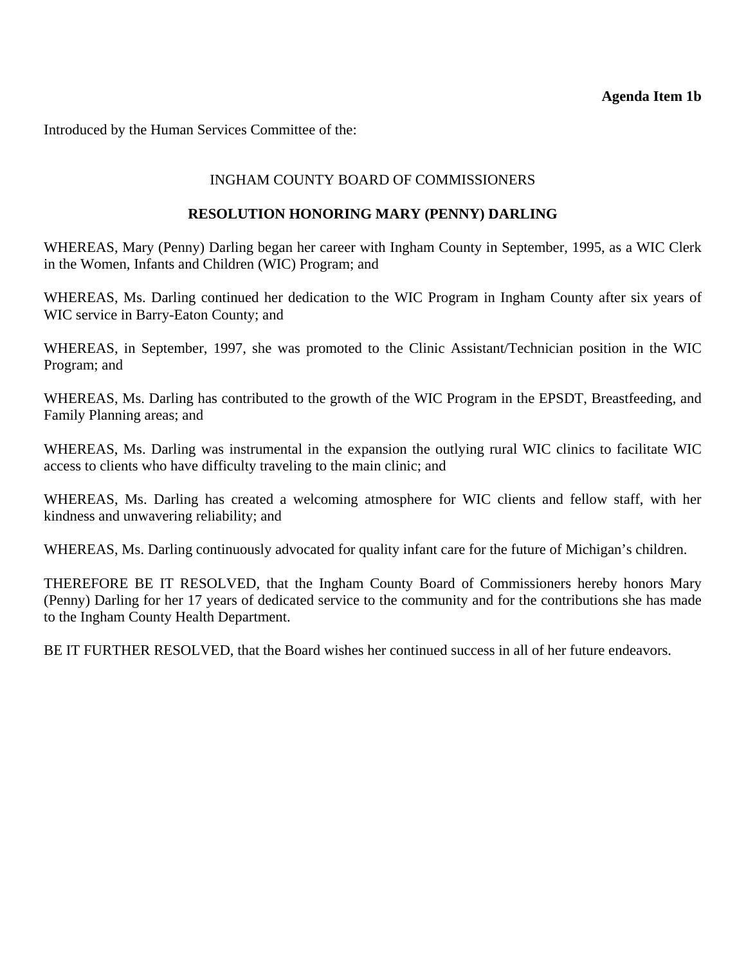<span id="page-7-0"></span>Introduced by the Human Services Committee of the:

### INGHAM COUNTY BOARD OF COMMISSIONERS

### **RESOLUTION HONORING MARY (PENNY) DARLING**

WHEREAS, Mary (Penny) Darling began her career with Ingham County in September, 1995, as a WIC Clerk in the Women, Infants and Children (WIC) Program; and

WHEREAS, Ms. Darling continued her dedication to the WIC Program in Ingham County after six years of WIC service in Barry-Eaton County; and

WHEREAS, in September, 1997, she was promoted to the Clinic Assistant/Technician position in the WIC Program; and

WHEREAS, Ms. Darling has contributed to the growth of the WIC Program in the EPSDT, Breastfeeding, and Family Planning areas; and

WHEREAS, Ms. Darling was instrumental in the expansion the outlying rural WIC clinics to facilitate WIC access to clients who have difficulty traveling to the main clinic; and

WHEREAS, Ms. Darling has created a welcoming atmosphere for WIC clients and fellow staff, with her kindness and unwavering reliability; and

WHEREAS, Ms. Darling continuously advocated for quality infant care for the future of Michigan's children.

THEREFORE BE IT RESOLVED, that the Ingham County Board of Commissioners hereby honors Mary (Penny) Darling for her 17 years of dedicated service to the community and for the contributions she has made to the Ingham County Health Department.

BE IT FURTHER RESOLVED, that the Board wishes her continued success in all of her future endeavors.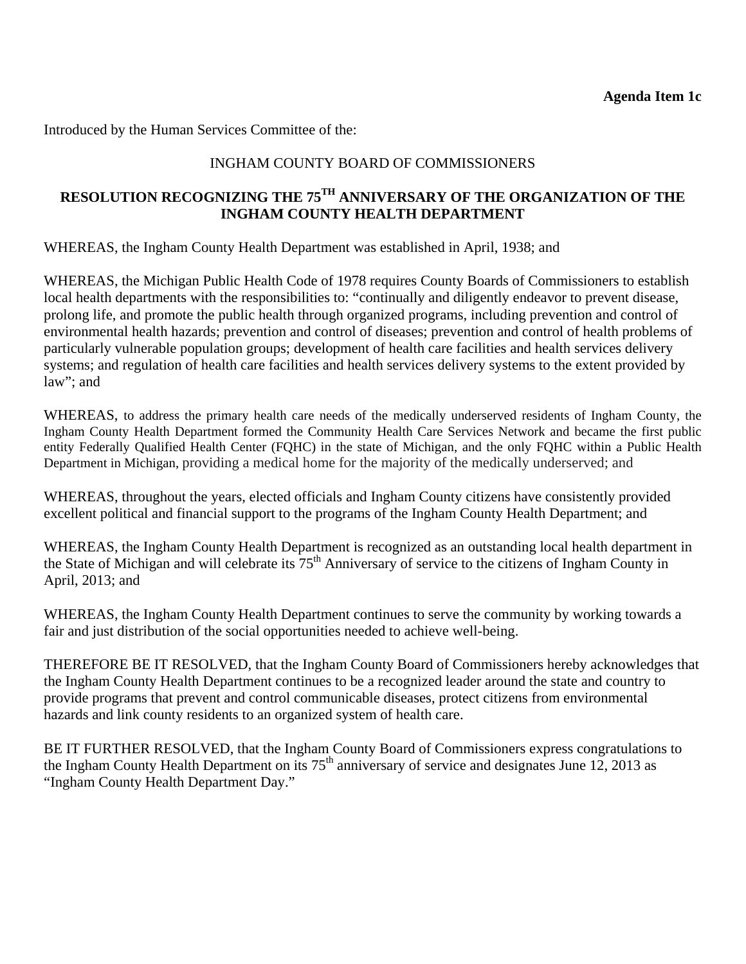<span id="page-8-0"></span>Introduced by the Human Services Committee of the:

## INGHAM COUNTY BOARD OF COMMISSIONERS

# **RESOLUTION RECOGNIZING THE 75TH ANNIVERSARY OF THE ORGANIZATION OF THE INGHAM COUNTY HEALTH DEPARTMENT**

WHEREAS, the Ingham County Health Department was established in April, 1938; and

WHEREAS, the Michigan Public Health Code of 1978 requires County Boards of Commissioners to establish local health departments with the responsibilities to: "continually and diligently endeavor to prevent disease, prolong life, and promote the public health through organized programs, including prevention and control of environmental health hazards; prevention and control of diseases; prevention and control of health problems of particularly vulnerable population groups; development of health care facilities and health services delivery systems; and regulation of health care facilities and health services delivery systems to the extent provided by law"; and

WHEREAS, to address the primary health care needs of the medically underserved residents of Ingham County, the Ingham County Health Department formed the Community Health Care Services Network and became the first public entity Federally Qualified Health Center (FQHC) in the state of Michigan, and the only FQHC within a Public Health Department in Michigan, providing a medical home for the majority of the medically underserved; and

WHEREAS, throughout the years, elected officials and Ingham County citizens have consistently provided excellent political and financial support to the programs of the Ingham County Health Department; and

WHEREAS, the Ingham County Health Department is recognized as an outstanding local health department in the State of Michigan and will celebrate its  $75<sup>th</sup>$  Anniversary of service to the citizens of Ingham County in April, 2013; and

WHEREAS, the Ingham County Health Department continues to serve the community by working towards a fair and just distribution of the social opportunities needed to achieve well-being.

THEREFORE BE IT RESOLVED, that the Ingham County Board of Commissioners hereby acknowledges that the Ingham County Health Department continues to be a recognized leader around the state and country to provide programs that prevent and control communicable diseases, protect citizens from environmental hazards and link county residents to an organized system of health care.

BE IT FURTHER RESOLVED, that the Ingham County Board of Commissioners express congratulations to the Ingham County Health Department on its  $75<sup>th</sup>$  anniversary of service and designates June 12, 2013 as "Ingham County Health Department Day."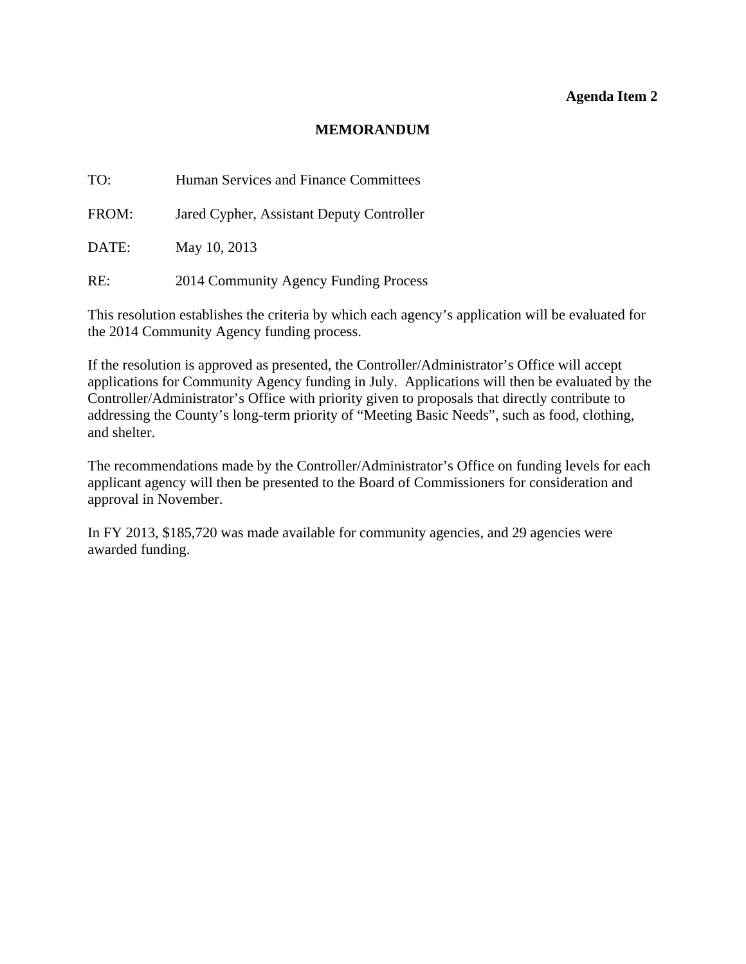#### **Agenda Item 2**

### **MEMORANDUM**

<span id="page-9-0"></span>TO: Human Services and Finance Committees

FROM: Jared Cypher, Assistant Deputy Controller

DATE: May 10, 2013

RE: 2014 Community Agency Funding Process

This resolution establishes the criteria by which each agency's application will be evaluated for the 2014 Community Agency funding process.

If the resolution is approved as presented, the Controller/Administrator's Office will accept applications for Community Agency funding in July. Applications will then be evaluated by the Controller/Administrator's Office with priority given to proposals that directly contribute to addressing the County's long-term priority of "Meeting Basic Needs", such as food, clothing, and shelter.

The recommendations made by the Controller/Administrator's Office on funding levels for each applicant agency will then be presented to the Board of Commissioners for consideration and approval in November.

In FY 2013, \$185,720 was made available for community agencies, and 29 agencies were awarded funding.